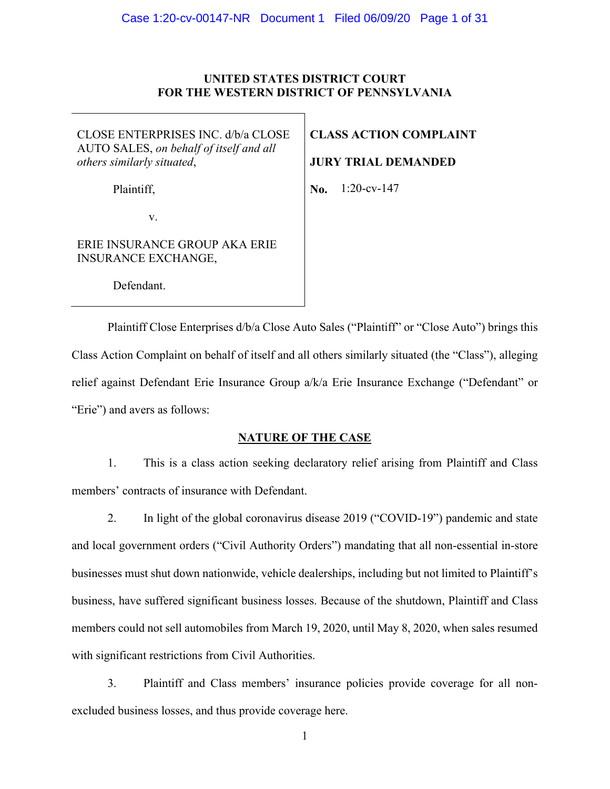#### **UNITED STATES DISTRICT COURT FOR THE WESTERN DISTRICT OF PENNSYLVANIA**

CLOSE ENTERPRISES INC. d/b/a CLOSE AUTO SALES, *on behalf of itself and all others similarly situated*,

Plaintiff,

**CLASS ACTION COMPLAINT**

**JURY TRIAL DEMANDED**

**No.**  1:20-cv-147

v.

ERIE INSURANCE GROUP AKA ERIE INSURANCE EXCHANGE,

Defendant.

Plaintiff Close Enterprises  $d/b/a$  Close Auto Sales ("Plaintiff" or "Close Auto") brings this Class Action Complaint on behalf of itself and all others similarly situated (the "Class"), alleging relief against Defendant Erie Insurance Group a/k/a Erie Insurance Exchange ("Defendant" or "Erie") and avers as follows:

#### **NATURE OF THE CASE**

1. This is a class action seeking declaratory relief arising from Plaintiff and Class members' contracts of insurance with Defendant.

2. In light of the global coronavirus disease 2019 ("COVID-19") pandemic and state and local government orders ("Civil Authority Orders") mandating that all non-essential in-store businesses must shut down nationwide, vehicle dealerships, including but not limited to Plaintiff's business, have suffered significant business losses. Because of the shutdown, Plaintiff and Class members could not sell automobiles from March 19, 2020, until May 8, 2020, when sales resumed with significant restrictions from Civil Authorities.

3. Plaintiff and Class members' insurance policies provide coverage for all nonexcluded business losses, and thus provide coverage here.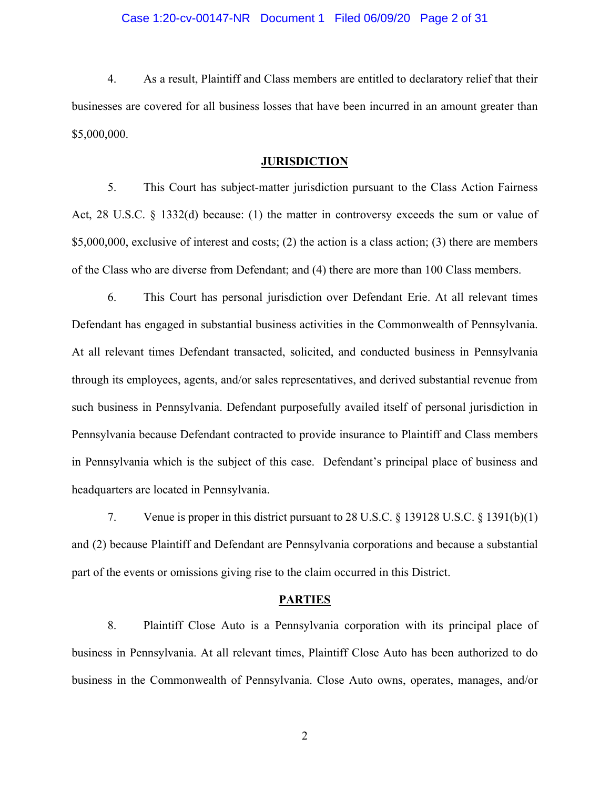#### Case 1:20-cv-00147-NR Document 1 Filed 06/09/20 Page 2 of 31

4. As a result, Plaintiff and Class members are entitled to declaratory relief that their businesses are covered for all business losses that have been incurred in an amount greater than \$5,000,000.

#### **JURISDICTION**

5. This Court has subject-matter jurisdiction pursuant to the Class Action Fairness Act, 28 U.S.C. § 1332(d) because: (1) the matter in controversy exceeds the sum or value of \$5,000,000, exclusive of interest and costs; (2) the action is a class action; (3) there are members of the Class who are diverse from Defendant; and (4) there are more than 100 Class members.

6. This Court has personal jurisdiction over Defendant Erie. At all relevant times Defendant has engaged in substantial business activities in the Commonwealth of Pennsylvania. At all relevant times Defendant transacted, solicited, and conducted business in Pennsylvania through its employees, agents, and/or sales representatives, and derived substantial revenue from such business in Pennsylvania. Defendant purposefully availed itself of personal jurisdiction in Pennsylvania because Defendant contracted to provide insurance to Plaintiff and Class members in Pennsylvania which is the subject of this case. Defendant's principal place of business and headquarters are located in Pennsylvania.

7. Venue is proper in this district pursuant to 28 U.S.C. § 139128 U.S.C. § 1391(b)(1) and (2) because Plaintiff and Defendant are Pennsylvania corporations and because a substantial part of the events or omissions giving rise to the claim occurred in this District.

#### **PARTIES**

8. Plaintiff Close Auto is a Pennsylvania corporation with its principal place of business in Pennsylvania. At all relevant times, Plaintiff Close Auto has been authorized to do business in the Commonwealth of Pennsylvania. Close Auto owns, operates, manages, and/or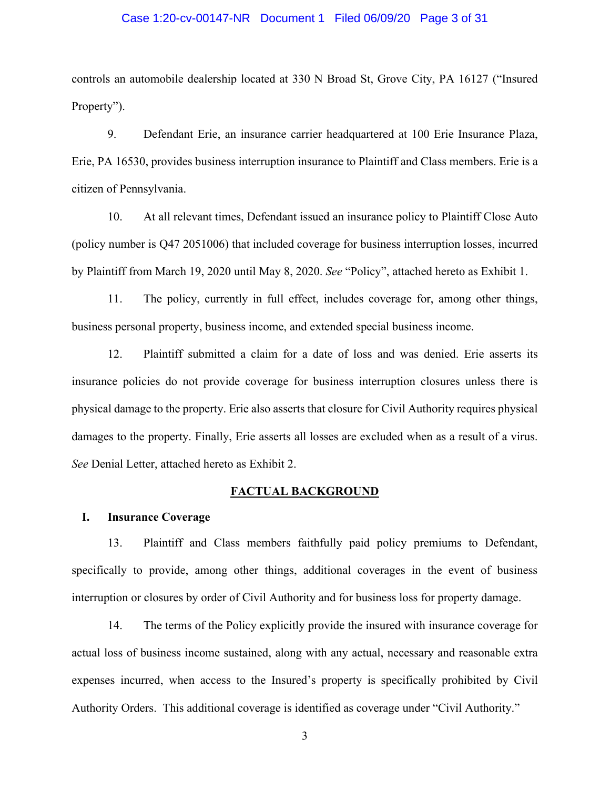#### Case 1:20-cv-00147-NR Document 1 Filed 06/09/20 Page 3 of 31

controls an automobile dealership located at 330 N Broad St, Grove City, PA 16127 ("Insured Property").

9. Defendant Erie, an insurance carrier headquartered at 100 Erie Insurance Plaza, Erie, PA 16530, provides business interruption insurance to Plaintiff and Class members. Erie is a citizen of Pennsylvania.

10. At all relevant times, Defendant issued an insurance policy to Plaintiff Close Auto (policy number is Q47 2051006) that included coverage for business interruption losses, incurred by Plaintiff from March 19, 2020 until May 8, 2020. *See* "Policy", attached hereto as Exhibit 1.

11. The policy, currently in full effect, includes coverage for, among other things, business personal property, business income, and extended special business income.

12. Plaintiff submitted a claim for a date of loss and was denied. Erie asserts its insurance policies do not provide coverage for business interruption closures unless there is physical damage to the property. Erie also asserts that closure for Civil Authority requires physical damages to the property. Finally, Erie asserts all losses are excluded when as a result of a virus. *See* Denial Letter, attached hereto as Exhibit 2.

#### **FACTUAL BACKGROUND**

#### **I. Insurance Coverage**

13. Plaintiff and Class members faithfully paid policy premiums to Defendant, specifically to provide, among other things, additional coverages in the event of business interruption or closures by order of Civil Authority and for business loss for property damage.

14. The terms of the Policy explicitly provide the insured with insurance coverage for actual loss of business income sustained, along with any actual, necessary and reasonable extra expenses incurred, when access to the Insured's property is specifically prohibited by Civil Authority Orders. This additional coverage is identified as coverage under "Civil Authority."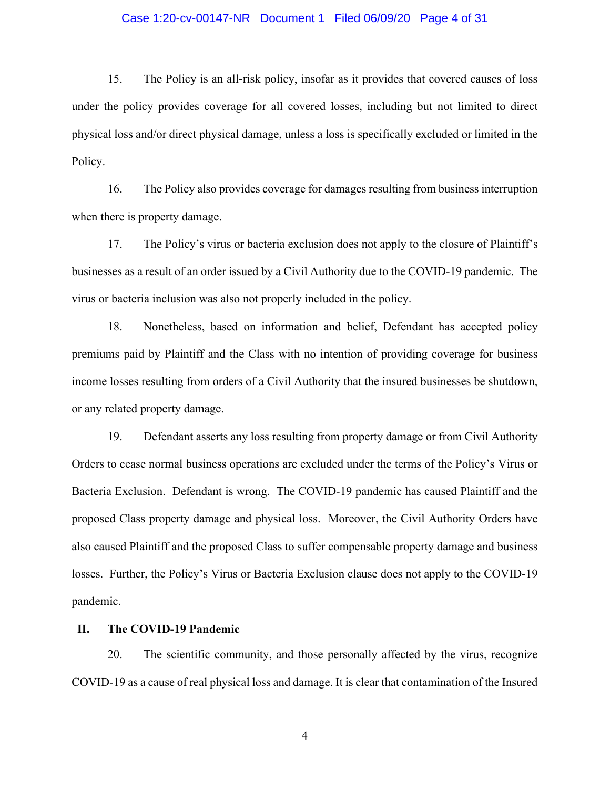#### Case 1:20-cv-00147-NR Document 1 Filed 06/09/20 Page 4 of 31

15. The Policy is an all-risk policy, insofar as it provides that covered causes of loss under the policy provides coverage for all covered losses, including but not limited to direct physical loss and/or direct physical damage, unless a loss is specifically excluded or limited in the Policy.

16. The Policy also provides coverage for damages resulting from business interruption when there is property damage.

17. The Policy's virus or bacteria exclusion does not apply to the closure of Plaintiff's businesses as a result of an order issued by a Civil Authority due to the COVID-19 pandemic. The virus or bacteria inclusion was also not properly included in the policy.

18. Nonetheless, based on information and belief, Defendant has accepted policy premiums paid by Plaintiff and the Class with no intention of providing coverage for business income losses resulting from orders of a Civil Authority that the insured businesses be shutdown, or any related property damage.

19. Defendant asserts any loss resulting from property damage or from Civil Authority Orders to cease normal business operations are excluded under the terms of the Policy's Virus or Bacteria Exclusion. Defendant is wrong. The COVID-19 pandemic has caused Plaintiff and the proposed Class property damage and physical loss. Moreover, the Civil Authority Orders have also caused Plaintiff and the proposed Class to suffer compensable property damage and business losses. Further, the Policy's Virus or Bacteria Exclusion clause does not apply to the COVID-19 pandemic.

#### **II. The COVID-19 Pandemic**

20. The scientific community, and those personally affected by the virus, recognize COVID-19 as a cause of real physical loss and damage. It is clear that contamination of the Insured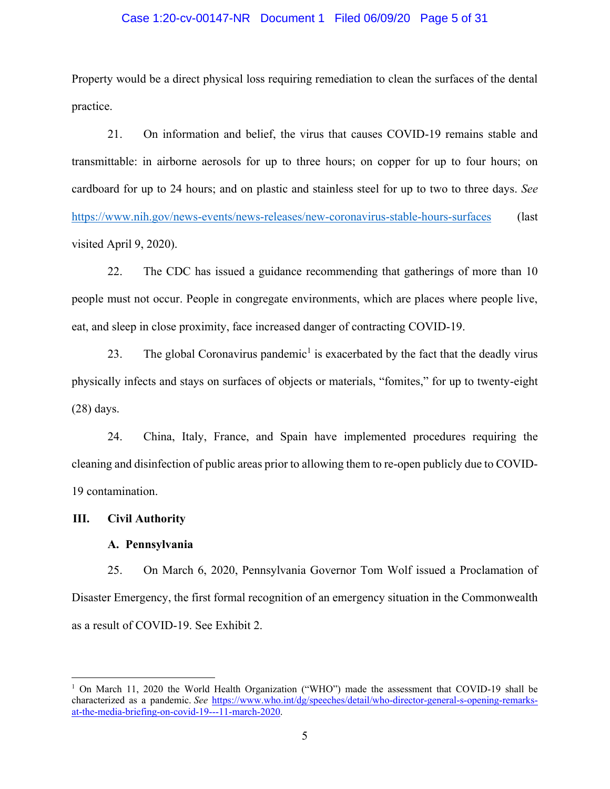#### Case 1:20-cv-00147-NR Document 1 Filed 06/09/20 Page 5 of 31

Property would be a direct physical loss requiring remediation to clean the surfaces of the dental practice.

21. On information and belief, the virus that causes COVID-19 remains stable and transmittable: in airborne aerosols for up to three hours; on copper for up to four hours; on cardboard for up to 24 hours; and on plastic and stainless steel for up to two to three days. *See* <https://www.nih.gov/news-events/news-releases/new-coronavirus-stable-hours-surfaces> (last visited April 9, 2020).

22. The CDC has issued a guidance recommending that gatherings of more than 10 people must not occur. People in congregate environments, which are places where people live, eat, and sleep in close proximity, face increased danger of contracting COVID-19.

23. The global Coronavirus pandemic<sup>1</sup> is exacerbated by the fact that the deadly virus physically infects and stays on surfaces of objects or materials, "fomites," for up to twenty-eight (28) days.

24. China, Italy, France, and Spain have implemented procedures requiring the cleaning and disinfection of public areas prior to allowing them to re-open publicly due to COVID-19 contamination.

#### **III. Civil Authority**

#### **A. Pennsylvania**

25. On March 6, 2020, Pennsylvania Governor Tom Wolf issued a Proclamation of Disaster Emergency, the first formal recognition of an emergency situation in the Commonwealth as a result of COVID-19. See Exhibit 2.

<sup>1</sup> On March 11, 2020 the World Health Organization ("WHO") made the assessment that COVID-19 shall be characterized as a pandemic. *See* [https://www.who.int/dg/speeches/detail/who-director-general-s-opening-remarks](https://www.who.int/dg/speeches/detail/who-director-general-s-opening-remarks-at-the-media-briefing-on-covid-19---11-march-2020)[at-the-media-briefing-on-covid-19---11-march-2020.](https://www.who.int/dg/speeches/detail/who-director-general-s-opening-remarks-at-the-media-briefing-on-covid-19---11-march-2020)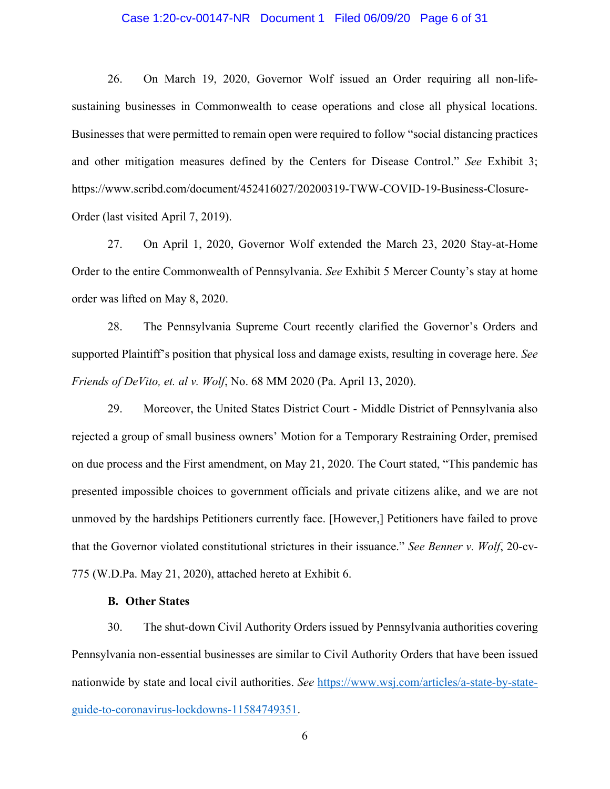#### Case 1:20-cv-00147-NR Document 1 Filed 06/09/20 Page 6 of 31

26. On March 19, 2020, Governor Wolf issued an Order requiring all non-lifesustaining businesses in Commonwealth to cease operations and close all physical locations. Businesses that were permitted to remain open were required to follow "social distancing practices and other mitigation measures defined by the Centers for Disease Control." *See* Exhibit 3; https://www.scribd.com/document/452416027/20200319-TWW-COVID-19-Business-Closure-Order (last visited April 7, 2019).

27. On April 1, 2020, Governor Wolf extended the March 23, 2020 Stay-at-Home Order to the entire Commonwealth of Pennsylvania. *See* Exhibit 5 Mercer County's stay at home order was lifted on May 8, 2020.

28. The Pennsylvania Supreme Court recently clarified the Governor's Orders and supported Plaintiff's position that physical loss and damage exists, resulting in coverage here. *See Friends of DeVito, et. al v. Wolf*, No. 68 MM 2020 (Pa. April 13, 2020).

29. Moreover, the United States District Court - Middle District of Pennsylvania also rejected a group of small business owners' Motion for a Temporary Restraining Order, premised on due process and the First amendment, on May 21, 2020. The Court stated, "This pandemic has presented impossible choices to government officials and private citizens alike, and we are not unmoved by the hardships Petitioners currently face. [However,] Petitioners have failed to prove that the Governor violated constitutional strictures in their issuance." *See Benner v. Wolf*, 20-cv-775 (W.D.Pa. May 21, 2020), attached hereto at Exhibit 6.

#### **B. Other States**

30. The shut-down Civil Authority Orders issued by Pennsylvania authorities covering Pennsylvania non-essential businesses are similar to Civil Authority Orders that have been issued nationwide by state and local civil authorities. *See* [https://www.wsj.com/articles/a-state-by-state](https://www.wsj.com/articles/a-state-by-state-guide-to-coronavirus-lockdowns-11584749351)[guide-to-coronavirus-lockdowns-11584749351.](https://www.wsj.com/articles/a-state-by-state-guide-to-coronavirus-lockdowns-11584749351)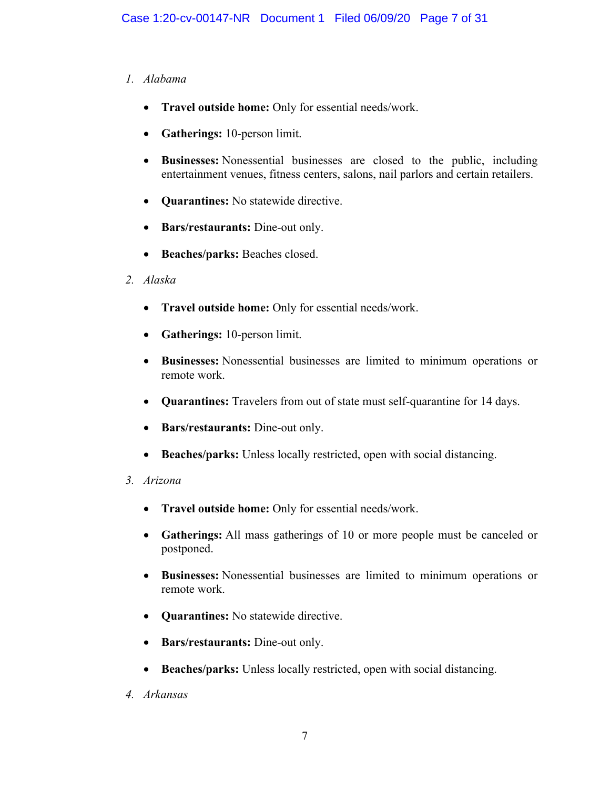# *1. Alabama*

- **Travel outside home:** Only for essential needs/work.
- **Gatherings:** 10-person limit.
- **Businesses:** Nonessential businesses are closed to the public, including entertainment venues, fitness centers, salons, nail parlors and certain retailers.
- **Quarantines:** No statewide directive.
- **Bars/restaurants:** Dine-out only.
- **Beaches/parks:** Beaches closed.
- *2. Alaska*
	- **Travel outside home:** Only for essential needs/work.
	- **Gatherings:** 10-person limit.
	- **Businesses:** Nonessential businesses are limited to minimum operations or remote work.
	- **Quarantines:** Travelers from out of state must self-quarantine for 14 days.
	- **Bars/restaurants:** Dine-out only.
	- **Beaches/parks:** Unless locally restricted, open with social distancing.
- *3. Arizona*
	- **Travel outside home:** Only for essential needs/work.
	- **Gatherings:** All mass gatherings of 10 or more people must be canceled or postponed.
	- **Businesses:** Nonessential businesses are limited to minimum operations or remote work.
	- **Quarantines:** No statewide directive.
	- **Bars/restaurants:** Dine-out only.
	- **Beaches/parks:** Unless locally restricted, open with social distancing.
- *4. Arkansas*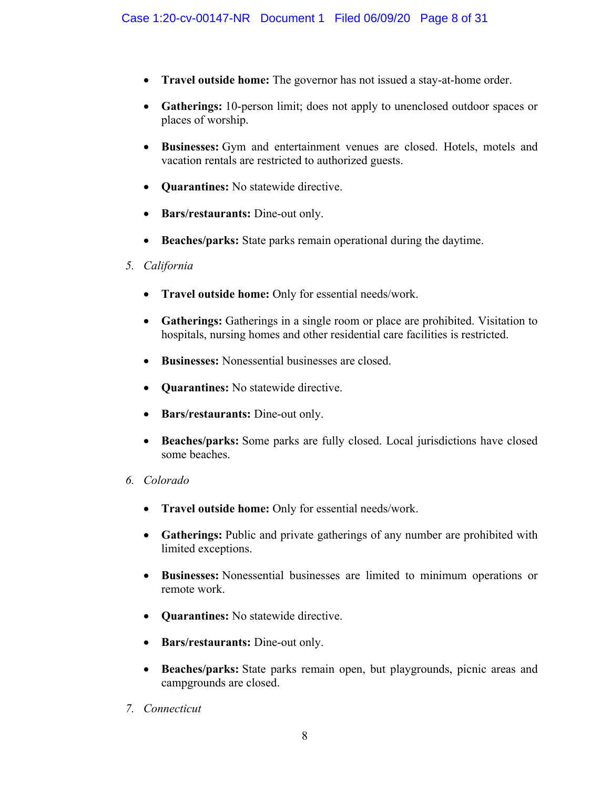- **Travel outside home:** The governor has not issued a stay-at-home order.
- **Gatherings:** 10-person limit; does not apply to unenclosed outdoor spaces or places of worship.
- **Businesses:** Gym and entertainment venues are closed. Hotels, motels and vacation rentals are restricted to authorized guests.
- **Quarantines:** No statewide directive.
- **Bars/restaurants:** Dine-out only.
- **Beaches/parks:** State parks remain operational during the daytime.
- *5. California*
	- **Travel outside home:** Only for essential needs/work.
	- **Gatherings:** Gatherings in a single room or place are prohibited. Visitation to hospitals, nursing homes and other residential care facilities is restricted.
	- **Businesses:** Nonessential businesses are closed.
	- **Quarantines:** No statewide directive.
	- **Bars/restaurants:** Dine-out only.
	- **Beaches/parks:** Some parks are fully closed. Local jurisdictions have closed some beaches.
- *6. Colorado*
	- **Travel outside home:** Only for essential needs/work.
	- **Gatherings:** Public and private gatherings of any number are prohibited with limited exceptions.
	- **Businesses:** Nonessential businesses are limited to minimum operations or remote work.
	- **Quarantines:** No statewide directive.
	- **Bars/restaurants:** Dine-out only.
	- **Beaches/parks:** State parks remain open, but playgrounds, picnic areas and campgrounds are closed.
- *7. Connecticut*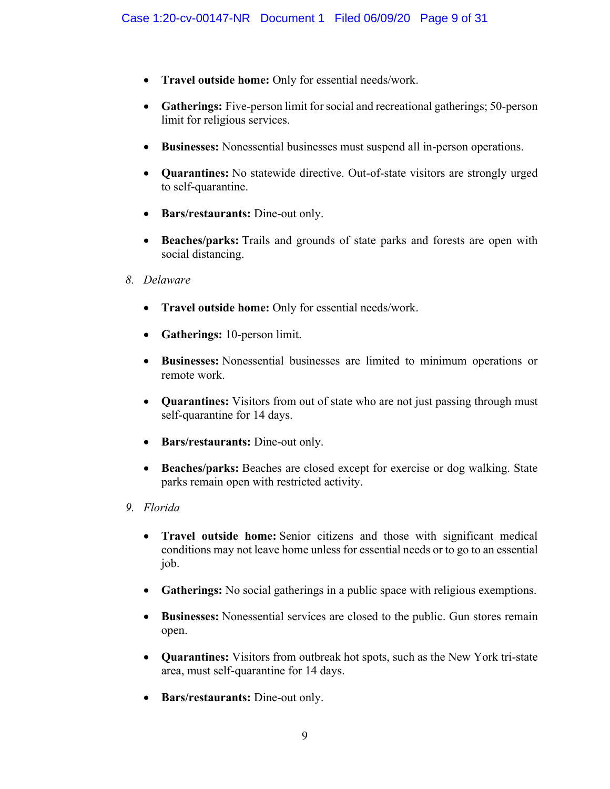- **Travel outside home:** Only for essential needs/work.
- **Gatherings:** Five-person limit for social and recreational gatherings; 50-person limit for religious services.
- **Businesses:** Nonessential businesses must suspend all in-person operations.
- **Quarantines:** No statewide directive. Out-of-state visitors are strongly urged to self-quarantine.
- **Bars/restaurants:** Dine-out only.
- **Beaches/parks:** Trails and grounds of state parks and forests are open with social distancing.
- *8. Delaware*
	- **Travel outside home:** Only for essential needs/work.
	- **Gatherings:** 10-person limit.
	- **Businesses:** Nonessential businesses are limited to minimum operations or remote work.
	- **Quarantines:** Visitors from out of state who are not just passing through must self-quarantine for 14 days.
	- **Bars/restaurants:** Dine-out only.
	- **Beaches/parks:** Beaches are closed except for exercise or dog walking. State parks remain open with restricted activity.
- *9. Florida*
	- **Travel outside home:** Senior citizens and those with significant medical conditions may not leave home unless for essential needs or to go to an essential job.
	- **Gatherings:** No social gatherings in a public space with religious exemptions.
	- **Businesses:** Nonessential services are closed to the public. Gun stores remain open.
	- **Quarantines:** Visitors from outbreak hot spots, such as the New York tri-state area, must self-quarantine for 14 days.
	- **Bars/restaurants:** Dine-out only.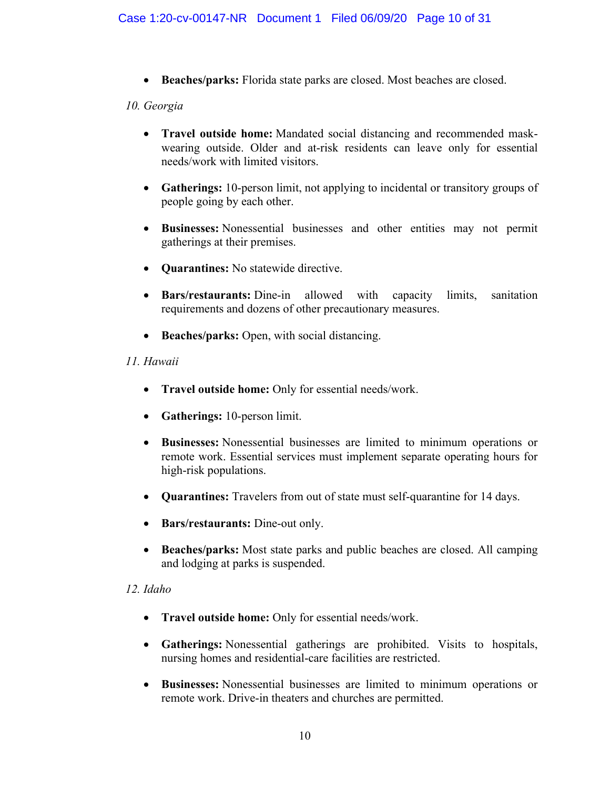• **Beaches/parks:** Florida state parks are closed. Most beaches are closed.

# *10. Georgia*

- **Travel outside home:** Mandated social distancing and recommended maskwearing outside. Older and at-risk residents can leave only for essential needs/work with limited visitors.
- **Gatherings:** 10-person limit, not applying to incidental or transitory groups of people going by each other.
- **Businesses:** Nonessential businesses and other entities may not permit gatherings at their premises.
- **Quarantines:** No statewide directive.
- **Bars/restaurants:** Dine-in allowed with capacity limits, sanitation requirements and dozens of other precautionary measures.
- **Beaches/parks:** Open, with social distancing.

# *11. Hawaii*

- **Travel outside home:** Only for essential needs/work.
- **Gatherings:** 10-person limit.
- **Businesses:** Nonessential businesses are limited to minimum operations or remote work. Essential services must implement separate operating hours for high-risk populations.
- **Quarantines:** Travelers from out of state must self-quarantine for 14 days.
- **Bars/restaurants:** Dine-out only.
- **Beaches/parks:** Most state parks and public beaches are closed. All camping and lodging at parks is suspended.

# *12. Idaho*

- **Travel outside home:** Only for essential needs/work.
- **Gatherings:** Nonessential gatherings are prohibited. Visits to hospitals, nursing homes and residential-care facilities are restricted.
- **Businesses:** Nonessential businesses are limited to minimum operations or remote work. Drive-in theaters and churches are permitted.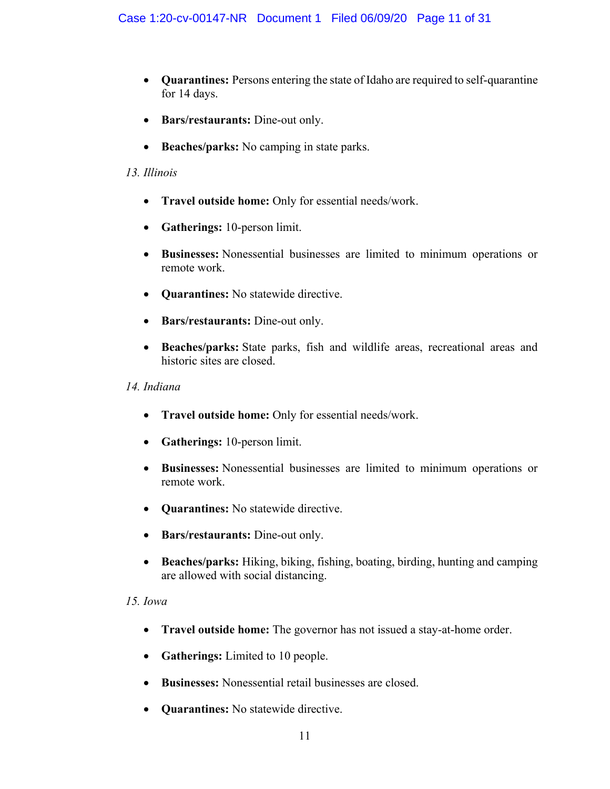- **Quarantines:** Persons entering the state of Idaho are required to self-quarantine for 14 days.
- **Bars/restaurants:** Dine-out only.
- **Beaches/parks:** No camping in state parks.

# *13. Illinois*

- **Travel outside home:** Only for essential needs/work.
- **Gatherings:** 10-person limit.
- **Businesses:** Nonessential businesses are limited to minimum operations or remote work.
- **Quarantines:** No statewide directive.
- **Bars/restaurants:** Dine-out only.
- **Beaches/parks:** State parks, fish and wildlife areas, recreational areas and historic sites are closed.

#### *14. Indiana*

- **Travel outside home:** Only for essential needs/work.
- **Gatherings:** 10-person limit.
- **Businesses:** Nonessential businesses are limited to minimum operations or remote work.
- **Quarantines:** No statewide directive.
- **Bars/restaurants:** Dine-out only.
- **Beaches/parks:** Hiking, biking, fishing, boating, birding, hunting and camping are allowed with social distancing.

# *15. Iowa*

- **Travel outside home:** The governor has not issued a stay-at-home order.
- **Gatherings:** Limited to 10 people.
- **Businesses:** Nonessential retail businesses are closed.
- **Quarantines:** No statewide directive.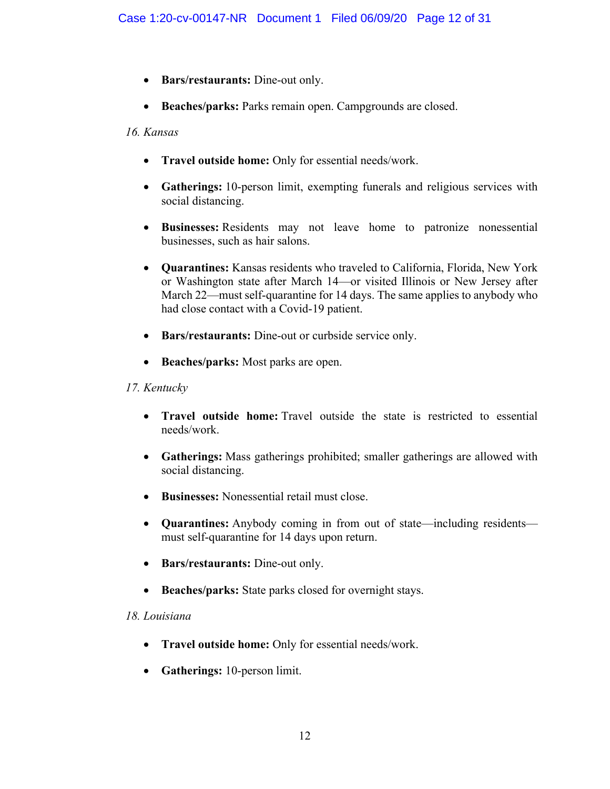- **Bars/restaurants:** Dine-out only.
- **Beaches/parks:** Parks remain open. Campgrounds are closed.

# *16. Kansas*

- **Travel outside home:** Only for essential needs/work.
- **Gatherings:** 10-person limit, exempting funerals and religious services with social distancing.
- **Businesses:** Residents may not leave home to patronize nonessential businesses, such as hair salons.
- **Quarantines:** Kansas residents who traveled to California, Florida, New York or Washington state after March 14—or visited Illinois or New Jersey after March 22—must self-quarantine for 14 days. The same applies to anybody who had close contact with a Covid-19 patient.
- **Bars/restaurants:** Dine-out or curbside service only.
- **Beaches/parks:** Most parks are open.

# *17. Kentucky*

- **Travel outside home:** Travel outside the state is restricted to essential needs/work.
- **Gatherings:** Mass gatherings prohibited; smaller gatherings are allowed with social distancing.
- **Businesses:** Nonessential retail must close.
- **Quarantines:** Anybody coming in from out of state—including residents must self-quarantine for 14 days upon return.
- **Bars/restaurants:** Dine-out only.
- **Beaches/parks:** State parks closed for overnight stays.

# *18. Louisiana*

- **Travel outside home:** Only for essential needs/work.
- **Gatherings:** 10-person limit.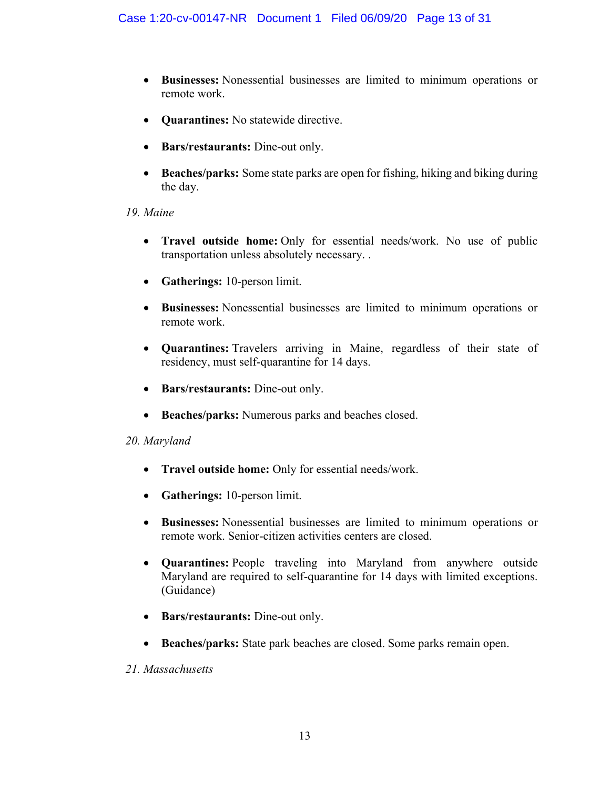- **Businesses:** Nonessential businesses are limited to minimum operations or remote work.
- **Quarantines:** No statewide directive.
- **Bars/restaurants:** Dine-out only.
- **Beaches/parks:** Some state parks are open for fishing, hiking and biking during the day.

# *19. Maine*

- **Travel outside home:** Only for essential needs/work. No use of public transportation unless absolutely necessary. .
- **Gatherings:** 10-person limit.
- **Businesses:** Nonessential businesses are limited to minimum operations or remote work.
- **Quarantines:** Travelers arriving in Maine, regardless of their state of residency, must self-quarantine for 14 days.
- **Bars/restaurants:** Dine-out only.
- **Beaches/parks:** Numerous parks and beaches closed.

# *20. Maryland*

- **Travel outside home:** Only for essential needs/work.
- **Gatherings:** 10-person limit.
- **Businesses:** Nonessential businesses are limited to minimum operations or remote work. Senior-citizen activities centers are closed.
- **Quarantines:** People traveling into Maryland from anywhere outside Maryland are required to self-quarantine for 14 days with limited exceptions. (Guidance)
- **Bars/restaurants:** Dine-out only.
- **Beaches/parks:** State park beaches are closed. Some parks remain open.
- *21. Massachusetts*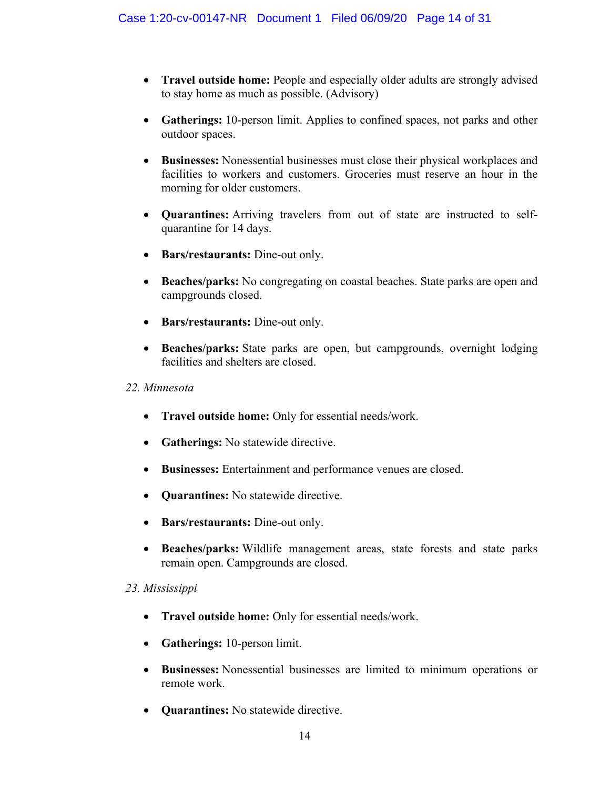- **Travel outside home:** People and especially older adults are strongly advised to stay home as much as possible. (Advisory)
- **Gatherings:** 10-person limit. Applies to confined spaces, not parks and other outdoor spaces.
- **Businesses:** Nonessential businesses must close their physical workplaces and facilities to workers and customers. Groceries must reserve an hour in the morning for older customers.
- **Quarantines:** Arriving travelers from out of state are instructed to selfquarantine for 14 days.
- **Bars/restaurants:** Dine-out only.
- **Beaches/parks:** No congregating on coastal beaches. State parks are open and campgrounds closed.
- **Bars/restaurants:** Dine-out only.
- **Beaches/parks:** State parks are open, but campgrounds, overnight lodging facilities and shelters are closed.

# *22. Minnesota*

- **Travel outside home:** Only for essential needs/work.
- **Gatherings:** No statewide directive.
- **Businesses:** Entertainment and performance venues are closed.
- **Quarantines:** No statewide directive.
- **Bars/restaurants:** Dine-out only.
- **Beaches/parks:** Wildlife management areas, state forests and state parks remain open. Campgrounds are closed.

# *23. Mississippi*

- **Travel outside home:** Only for essential needs/work.
- **Gatherings:** 10-person limit.
- **Businesses:** Nonessential businesses are limited to minimum operations or remote work.
- **Quarantines:** No statewide directive.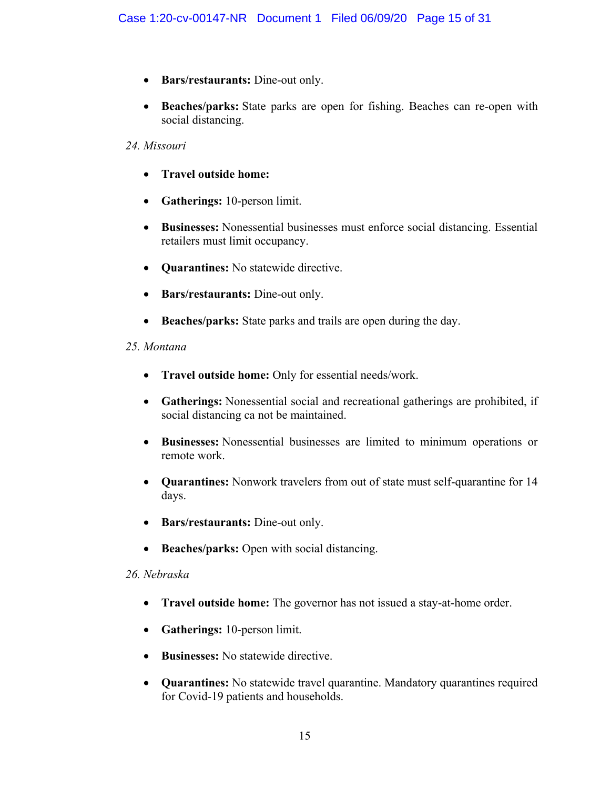- **Bars/restaurants:** Dine-out only.
- **Beaches/parks:** State parks are open for fishing. Beaches can re-open with social distancing.

# *24. Missouri*

- **Travel outside home:**
- **Gatherings:** 10-person limit.
- **Businesses:** Nonessential businesses must enforce social distancing. Essential retailers must limit occupancy.
- **Quarantines:** No statewide directive.
- **Bars/restaurants:** Dine-out only.
- **Beaches/parks:** State parks and trails are open during the day.

# *25. Montana*

- **Travel outside home:** Only for essential needs/work.
- **Gatherings:** Nonessential social and recreational gatherings are prohibited, if social distancing ca not be maintained.
- **Businesses:** Nonessential businesses are limited to minimum operations or remote work.
- **Quarantines:** Nonwork travelers from out of state must self-quarantine for 14 days.
- **Bars/restaurants:** Dine-out only.
- **Beaches/parks:** Open with social distancing.

# *26. Nebraska*

- **Travel outside home:** The governor has not issued a stay-at-home order.
- **Gatherings:** 10-person limit.
- **Businesses:** No statewide directive.
- **Quarantines:** No statewide travel quarantine. Mandatory quarantines required for Covid-19 patients and households.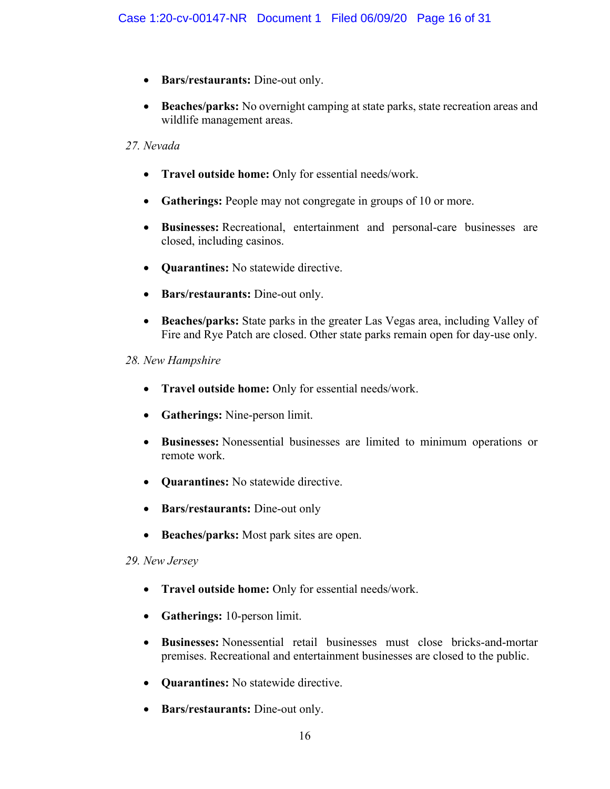- **Bars/restaurants:** Dine-out only.
- **Beaches/parks:** No overnight camping at state parks, state recreation areas and wildlife management areas.

# *27. Nevada*

- **Travel outside home:** Only for essential needs/work.
- **Gatherings:** People may not congregate in groups of 10 or more.
- **Businesses:** Recreational, entertainment and personal-care businesses are closed, including casinos.
- **Quarantines:** No statewide directive.
- **Bars/restaurants:** Dine-out only.
- **Beaches/parks:** State parks in the greater Las Vegas area, including Valley of Fire and Rye Patch are closed. Other state parks remain open for day-use only.

# *28. New Hampshire*

- **Travel outside home:** Only for essential needs/work.
- **Gatherings:** Nine-person limit.
- **Businesses:** Nonessential businesses are limited to minimum operations or remote work.
- **Quarantines:** No statewide directive.
- **Bars/restaurants:** Dine-out only
- **Beaches/parks:** Most park sites are open.

# *29. New Jersey*

- **Travel outside home:** Only for essential needs/work.
- **Gatherings:** 10-person limit.
- **Businesses:** Nonessential retail businesses must close bricks-and-mortar premises. Recreational and entertainment businesses are closed to the public.
- **Quarantines:** No statewide directive.
- **Bars/restaurants:** Dine-out only.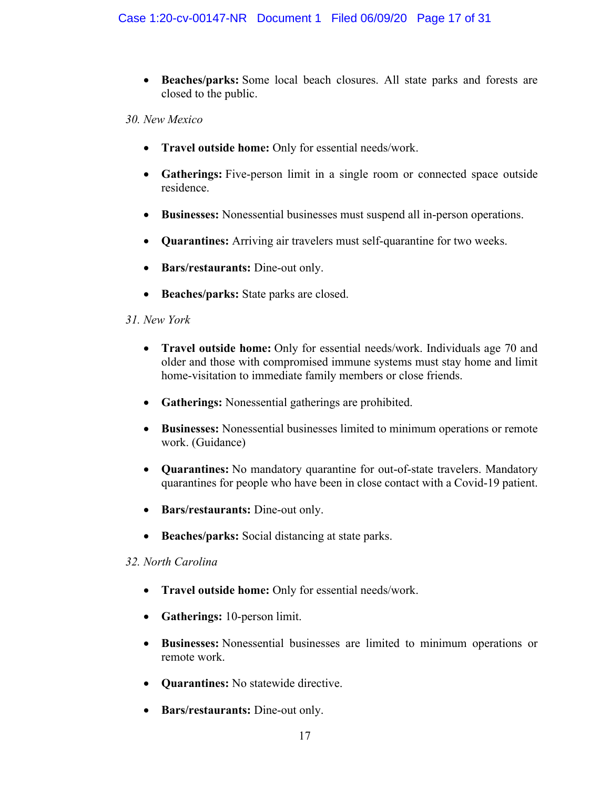• **Beaches/parks:** Some local beach closures. All state parks and forests are closed to the public.

*30. New Mexico*

- **Travel outside home:** Only for essential needs/work.
- **Gatherings:** Five-person limit in a single room or connected space outside residence.
- **Businesses:** Nonessential businesses must suspend all in-person operations.
- **Quarantines:** Arriving air travelers must self-quarantine for two weeks.
- **Bars/restaurants:** Dine-out only.
- **Beaches/parks:** State parks are closed.

# *31. New York*

- **Travel outside home:** Only for essential needs/work. Individuals age 70 and older and those with compromised immune systems must stay home and limit home-visitation to immediate family members or close friends.
- **Gatherings:** Nonessential gatherings are prohibited.
- **Businesses:** Nonessential businesses limited to minimum operations or remote work. (Guidance)
- **Quarantines:** No mandatory quarantine for out-of-state travelers. Mandatory quarantines for people who have been in close contact with a Covid-19 patient.
- **Bars/restaurants:** Dine-out only.
- **Beaches/parks:** Social distancing at state parks.

# *32. North Carolina*

- **Travel outside home:** Only for essential needs/work.
- **Gatherings:** 10-person limit.
- **Businesses:** Nonessential businesses are limited to minimum operations or remote work.
- **Quarantines:** No statewide directive.
- **Bars/restaurants:** Dine-out only.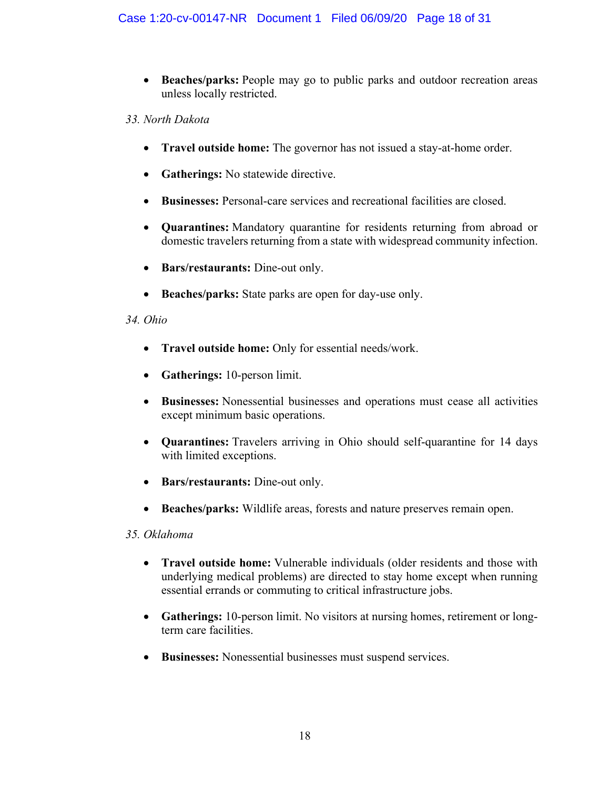- **Beaches/parks:** People may go to public parks and outdoor recreation areas unless locally restricted.
- *33. North Dakota*
	- **Travel outside home:** The governor has not issued a stay-at-home order.
	- **Gatherings:** No statewide directive.
	- **Businesses:** Personal-care services and recreational facilities are closed.
	- **Quarantines:** Mandatory quarantine for residents returning from abroad or domestic travelers returning from a state with widespread community infection.
	- **Bars/restaurants:** Dine-out only.
	- **Beaches/parks:** State parks are open for day-use only.

# *34. Ohio*

- **Travel outside home:** Only for essential needs/work.
- **Gatherings:** 10-person limit.
- **Businesses:** Nonessential businesses and operations must cease all activities except minimum basic operations.
- **Quarantines:** Travelers arriving in Ohio should self-quarantine for 14 days with limited exceptions.
- **Bars/restaurants:** Dine-out only.
- **Beaches/parks:** Wildlife areas, forests and nature preserves remain open.

# *35. Oklahoma*

- **Travel outside home:** Vulnerable individuals (older residents and those with underlying medical problems) are directed to stay home except when running essential errands or commuting to critical infrastructure jobs.
- **Gatherings:** 10-person limit. No visitors at nursing homes, retirement or longterm care facilities.
- **Businesses:** Nonessential businesses must suspend services.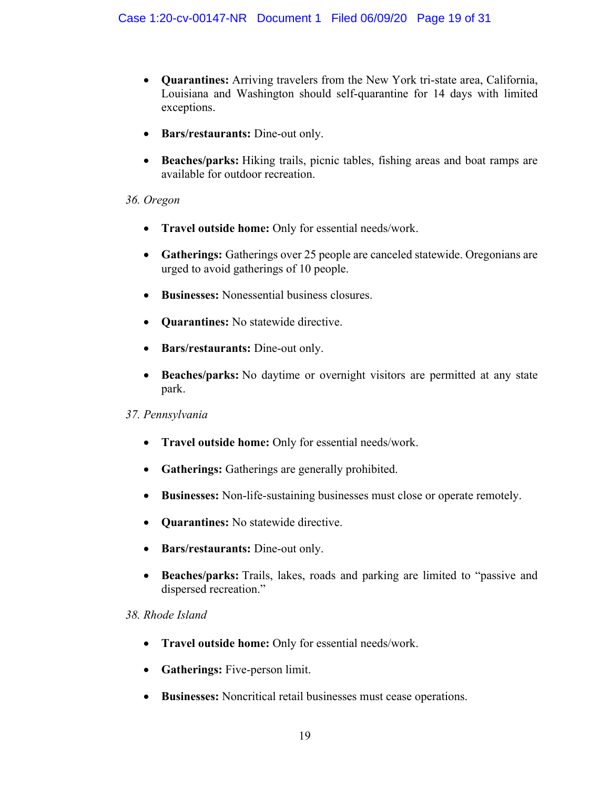- **Quarantines:** Arriving travelers from the New York tri-state area, California, Louisiana and Washington should self-quarantine for 14 days with limited exceptions.
- **Bars/restaurants:** Dine-out only.
- **Beaches/parks:** Hiking trails, picnic tables, fishing areas and boat ramps are available for outdoor recreation.

#### *36. Oregon*

- **Travel outside home:** Only for essential needs/work.
- **Gatherings:** Gatherings over 25 people are canceled statewide. Oregonians are urged to avoid gatherings of 10 people.
- **Businesses:** Nonessential business closures.
- **Quarantines:** No statewide directive.
- **Bars/restaurants:** Dine-out only.
- **Beaches/parks:** No daytime or overnight visitors are permitted at any state park.

# *37. Pennsylvania*

- **Travel outside home:** Only for essential needs/work.
- **Gatherings:** Gatherings are generally prohibited.
- **Businesses:** Non-life-sustaining businesses must close or operate remotely.
- **Quarantines:** No statewide directive.
- **Bars/restaurants:** Dine-out only.
- **Beaches/parks:** Trails, lakes, roads and parking are limited to "passive and dispersed recreation."

# *38. Rhode Island*

- **Travel outside home:** Only for essential needs/work.
- **Gatherings:** Five-person limit.
- **Businesses:** Noncritical retail businesses must cease operations.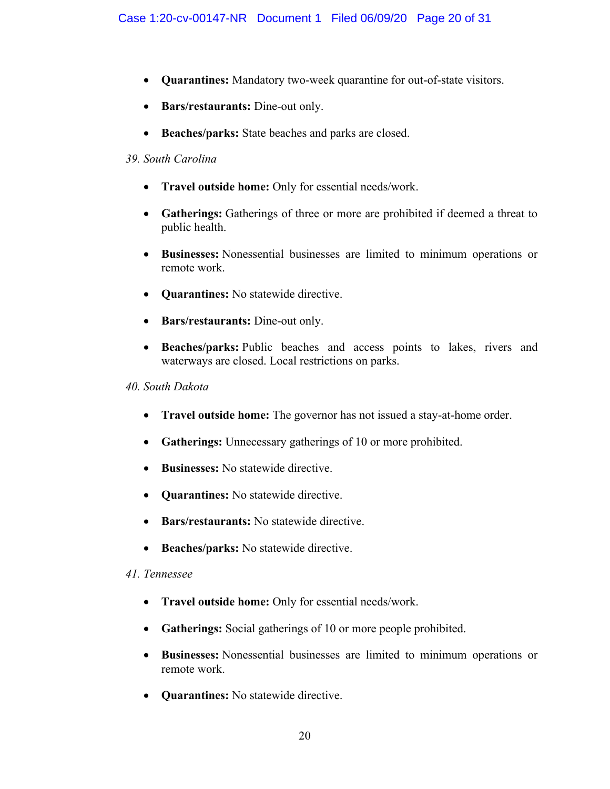- **Quarantines:** Mandatory two-week quarantine for out-of-state visitors.
- **Bars/restaurants:** Dine-out only.
- **Beaches/parks:** State beaches and parks are closed.

#### *39. South Carolina*

- **Travel outside home:** Only for essential needs/work.
- **Gatherings:** Gatherings of three or more are prohibited if deemed a threat to public health.
- **Businesses:** Nonessential businesses are limited to minimum operations or remote work.
- **Quarantines:** No statewide directive.
- **Bars/restaurants:** Dine-out only.
- **Beaches/parks:** Public beaches and access points to lakes, rivers and waterways are closed. Local restrictions on parks.

#### *40. South Dakota*

- **Travel outside home:** The governor has not issued a stay-at-home order.
- **Gatherings:** Unnecessary gatherings of 10 or more prohibited.
- **Businesses:** No statewide directive.
- **Quarantines:** No statewide directive.
- **Bars/restaurants:** No statewide directive.
- **Beaches/parks:** No statewide directive.

# *41. Tennessee*

- **Travel outside home:** Only for essential needs/work.
- **Gatherings:** Social gatherings of 10 or more people prohibited.
- **Businesses:** Nonessential businesses are limited to minimum operations or remote work.
- **Quarantines:** No statewide directive.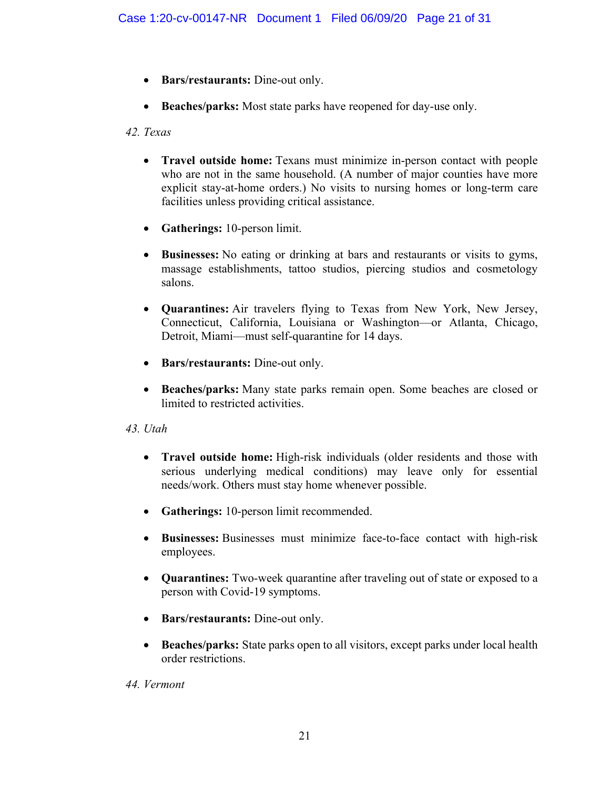- **Bars/restaurants:** Dine-out only.
- **Beaches/parks:** Most state parks have reopened for day-use only.

# *42. Texas*

- **Travel outside home:** Texans must minimize in-person contact with people who are not in the same household. (A number of major counties have more explicit stay-at-home orders.) No visits to nursing homes or long-term care facilities unless providing critical assistance.
- **Gatherings:** 10-person limit.
- **Businesses:** No eating or drinking at bars and restaurants or visits to gyms, massage establishments, tattoo studios, piercing studios and cosmetology salons.
- **Quarantines:** Air travelers flying to Texas from New York, New Jersey, Connecticut, California, Louisiana or Washington—or Atlanta, Chicago, Detroit, Miami—must self-quarantine for 14 days.
- **Bars/restaurants:** Dine-out only.
- **Beaches/parks:** Many state parks remain open. Some beaches are closed or limited to restricted activities.

# *43. Utah*

- **Travel outside home:** High-risk individuals (older residents and those with serious underlying medical conditions) may leave only for essential needs/work. Others must stay home whenever possible.
- **Gatherings:** 10-person limit recommended.
- **Businesses:** Businesses must minimize face-to-face contact with high-risk employees.
- **Quarantines:** Two-week quarantine after traveling out of state or exposed to a person with Covid-19 symptoms.
- **Bars/restaurants:** Dine-out only.
- **Beaches/parks:** State parks open to all visitors, except parks under local health order restrictions.

# *44. Vermont*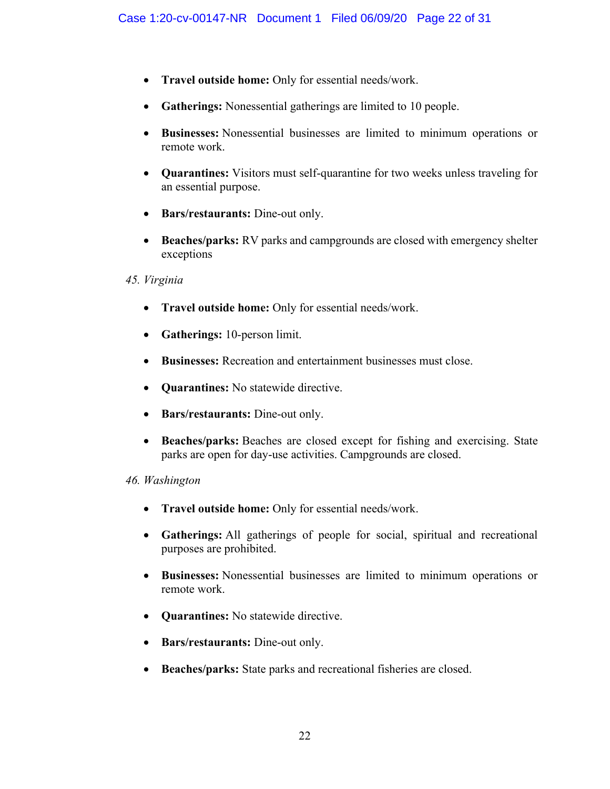- **Travel outside home:** Only for essential needs/work.
- **Gatherings:** Nonessential gatherings are limited to 10 people.
- **Businesses:** Nonessential businesses are limited to minimum operations or remote work.
- **Quarantines:** Visitors must self-quarantine for two weeks unless traveling for an essential purpose.
- **Bars/restaurants:** Dine-out only.
- **Beaches/parks:** RV parks and campgrounds are closed with emergency shelter exceptions

#### *45. Virginia*

- **Travel outside home:** Only for essential needs/work.
- **Gatherings:** 10-person limit.
- **Businesses:** Recreation and entertainment businesses must close.
- **Quarantines:** No statewide directive.
- **Bars/restaurants:** Dine-out only.
- **Beaches/parks:** Beaches are closed except for fishing and exercising. State parks are open for day-use activities. Campgrounds are closed.

#### *46. Washington*

- **Travel outside home:** Only for essential needs/work.
- **Gatherings:** All gatherings of people for social, spiritual and recreational purposes are prohibited.
- **Businesses:** Nonessential businesses are limited to minimum operations or remote work.
- **Quarantines:** No statewide directive.
- **Bars/restaurants:** Dine-out only.
- **Beaches/parks:** State parks and recreational fisheries are closed.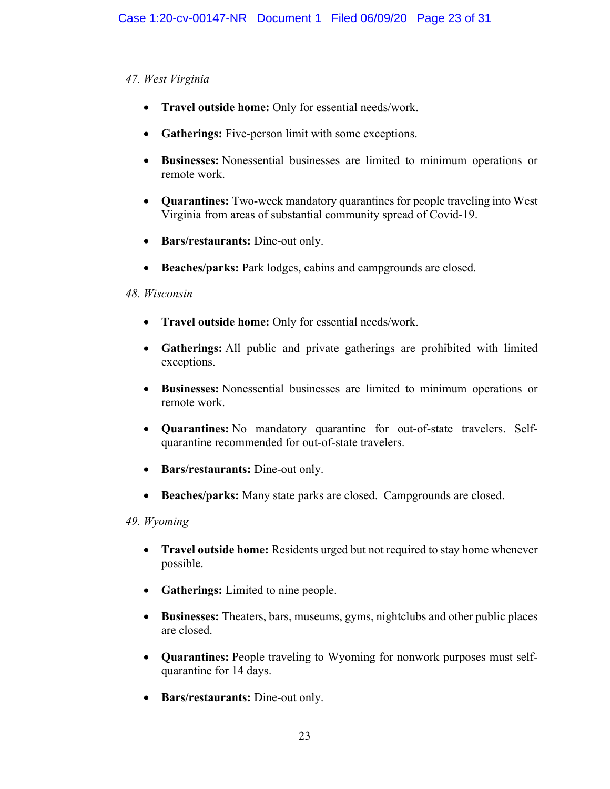# *47. West Virginia*

- **Travel outside home:** Only for essential needs/work.
- **Gatherings:** Five-person limit with some exceptions.
- **Businesses:** Nonessential businesses are limited to minimum operations or remote work.
- **Quarantines:** Two-week mandatory quarantines for people traveling into West Virginia from areas of substantial community spread of Covid-19.
- **Bars/restaurants:** Dine-out only.
- **Beaches/parks:** Park lodges, cabins and campgrounds are closed.

# *48. Wisconsin*

- **Travel outside home:** Only for essential needs/work.
- **Gatherings:** All public and private gatherings are prohibited with limited exceptions.
- **Businesses:** Nonessential businesses are limited to minimum operations or remote work.
- **Quarantines:** No mandatory quarantine for out-of-state travelers. Selfquarantine recommended for out-of-state travelers.
- **Bars/restaurants:** Dine-out only.
- **Beaches/parks:** Many state parks are closed. Campgrounds are closed.

# *49. Wyoming*

- **Travel outside home:** Residents urged but not required to stay home whenever possible.
- **Gatherings:** Limited to nine people.
- **Businesses:** Theaters, bars, museums, gyms, nightclubs and other public places are closed.
- **Quarantines:** People traveling to Wyoming for nonwork purposes must selfquarantine for 14 days.
- **Bars/restaurants:** Dine-out only.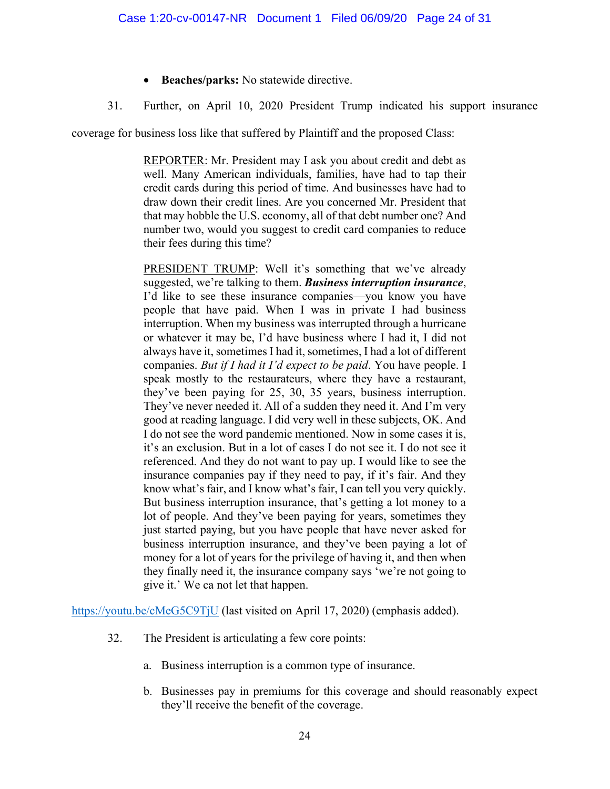- **Beaches/parks:** No statewide directive.
- 31. Further, on April 10, 2020 President Trump indicated his support insurance

coverage for business loss like that suffered by Plaintiff and the proposed Class:

REPORTER: Mr. President may I ask you about credit and debt as well. Many American individuals, families, have had to tap their credit cards during this period of time. And businesses have had to draw down their credit lines. Are you concerned Mr. President that that may hobble the U.S. economy, all of that debt number one? And number two, would you suggest to credit card companies to reduce their fees during this time?

PRESIDENT TRUMP: Well it's something that we've already suggested, we're talking to them. *Business interruption insurance*, I'd like to see these insurance companies—you know you have people that have paid. When I was in private I had business interruption. When my business was interrupted through a hurricane or whatever it may be, I'd have business where I had it, I did not always have it, sometimes I had it, sometimes, I had a lot of different companies. *But if I had it I'd expect to be paid*. You have people. I speak mostly to the restaurateurs, where they have a restaurant, they've been paying for 25, 30, 35 years, business interruption. They've never needed it. All of a sudden they need it. And I'm very good at reading language. I did very well in these subjects, OK. And I do not see the word pandemic mentioned. Now in some cases it is, it's an exclusion. But in a lot of cases I do not see it. I do not see it referenced. And they do not want to pay up. I would like to see the insurance companies pay if they need to pay, if it's fair. And they know what's fair, and I know what's fair, I can tell you very quickly. But business interruption insurance, that's getting a lot money to a lot of people. And they've been paying for years, sometimes they just started paying, but you have people that have never asked for business interruption insurance, and they've been paying a lot of money for a lot of years for the privilege of having it, and then when they finally need it, the insurance company says 'we're not going to give it.' We ca not let that happen.

<https://youtu.be/cMeG5C9TjU> (last visited on April 17, 2020) (emphasis added).

- 32. The President is articulating a few core points:
	- a. Business interruption is a common type of insurance.
	- b. Businesses pay in premiums for this coverage and should reasonably expect they'll receive the benefit of the coverage.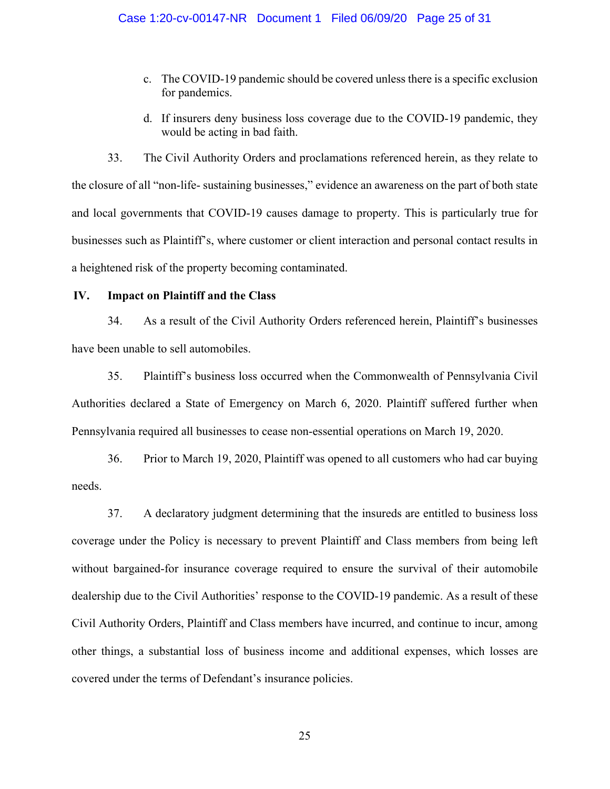- c. The COVID-19 pandemic should be covered unless there is a specific exclusion for pandemics.
- d. If insurers deny business loss coverage due to the COVID-19 pandemic, they would be acting in bad faith.

33. The Civil Authority Orders and proclamations referenced herein, as they relate to the closure of all "non-life- sustaining businesses," evidence an awareness on the part of both state and local governments that COVID-19 causes damage to property. This is particularly true for businesses such as Plaintiff's, where customer or client interaction and personal contact results in a heightened risk of the property becoming contaminated.

#### **IV. Impact on Plaintiff and the Class**

34. As a result of the Civil Authority Orders referenced herein, Plaintiff's businesses have been unable to sell automobiles.

35. Plaintiff's business loss occurred when the Commonwealth of Pennsylvania Civil Authorities declared a State of Emergency on March 6, 2020. Plaintiff suffered further when Pennsylvania required all businesses to cease non-essential operations on March 19, 2020.

36. Prior to March 19, 2020, Plaintiff was opened to all customers who had car buying needs.

37. A declaratory judgment determining that the insureds are entitled to business loss coverage under the Policy is necessary to prevent Plaintiff and Class members from being left without bargained-for insurance coverage required to ensure the survival of their automobile dealership due to the Civil Authorities' response to the COVID-19 pandemic. As a result of these Civil Authority Orders, Plaintiff and Class members have incurred, and continue to incur, among other things, a substantial loss of business income and additional expenses, which losses are covered under the terms of Defendant's insurance policies.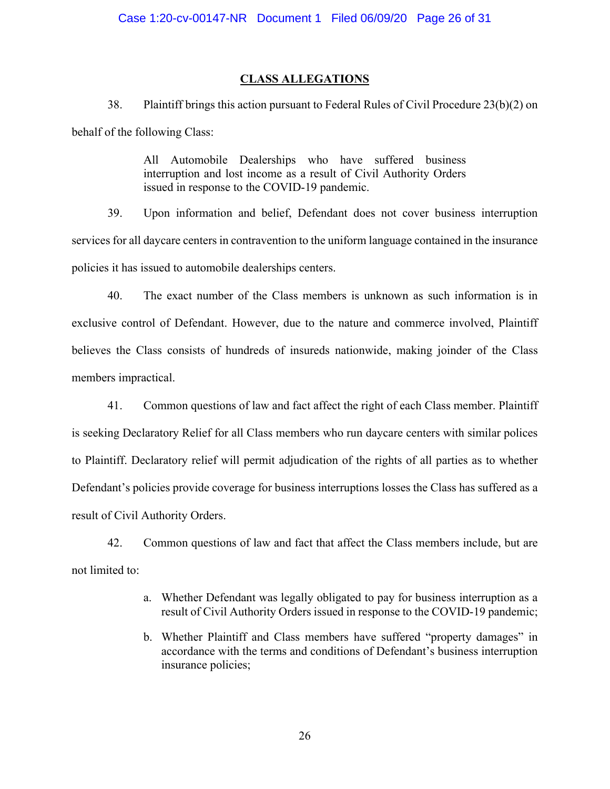#### **CLASS ALLEGATIONS**

38. Plaintiff brings this action pursuant to Federal Rules of Civil Procedure 23(b)(2) on behalf of the following Class:

> All Automobile Dealerships who have suffered business interruption and lost income as a result of Civil Authority Orders issued in response to the COVID-19 pandemic.

39. Upon information and belief, Defendant does not cover business interruption services for all daycare centers in contravention to the uniform language contained in the insurance policies it has issued to automobile dealerships centers.

40. The exact number of the Class members is unknown as such information is in exclusive control of Defendant. However, due to the nature and commerce involved, Plaintiff believes the Class consists of hundreds of insureds nationwide, making joinder of the Class members impractical.

41. Common questions of law and fact affect the right of each Class member. Plaintiff is seeking Declaratory Relief for all Class members who run daycare centers with similar polices to Plaintiff. Declaratory relief will permit adjudication of the rights of all parties as to whether Defendant's policies provide coverage for business interruptions losses the Class has suffered as a result of Civil Authority Orders.

42. Common questions of law and fact that affect the Class members include, but are not limited to:

- a. Whether Defendant was legally obligated to pay for business interruption as a result of Civil Authority Orders issued in response to the COVID-19 pandemic;
- b. Whether Plaintiff and Class members have suffered "property damages" in accordance with the terms and conditions of Defendant's business interruption insurance policies;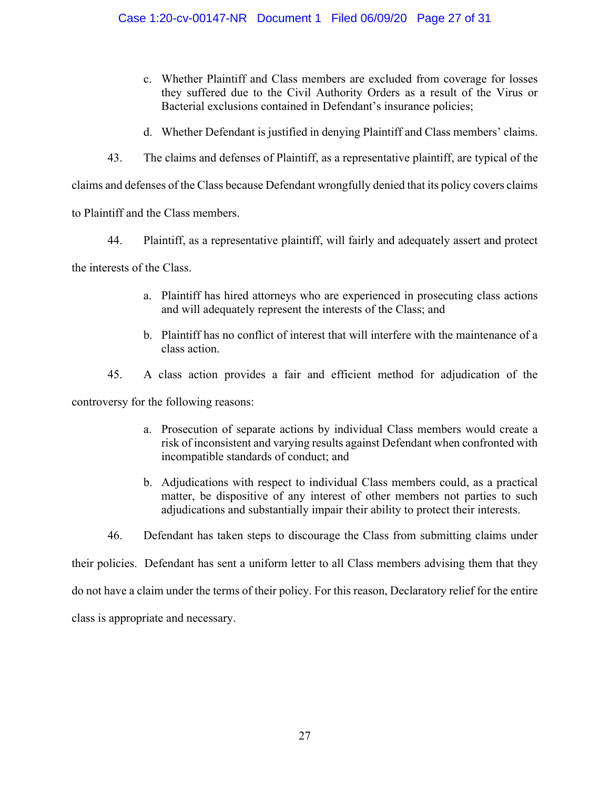#### Case 1:20-cv-00147-NR Document 1 Filed 06/09/20 Page 27 of 31

- c. Whether Plaintiff and Class members are excluded from coverage for losses they suffered due to the Civil Authority Orders as a result of the Virus or Bacterial exclusions contained in Defendant's insurance policies;
- d. Whether Defendant is justified in denying Plaintiff and Class members' claims.
- 43. The claims and defenses of Plaintiff, as a representative plaintiff, are typical of the

claims and defenses of the Class because Defendant wrongfully denied that its policy covers claims

to Plaintiff and the Class members.

44. Plaintiff, as a representative plaintiff, will fairly and adequately assert and protect

the interests of the Class.

- a. Plaintiff has hired attorneys who are experienced in prosecuting class actions and will adequately represent the interests of the Class; and
- b. Plaintiff has no conflict of interest that will interfere with the maintenance of a class action.
- 45. A class action provides a fair and efficient method for adjudication of the

controversy for the following reasons:

- a. Prosecution of separate actions by individual Class members would create a risk of inconsistent and varying results against Defendant when confronted with incompatible standards of conduct; and
- b. Adjudications with respect to individual Class members could, as a practical matter, be dispositive of any interest of other members not parties to such adjudications and substantially impair their ability to protect their interests.
- 46. Defendant has taken steps to discourage the Class from submitting claims under

their policies. Defendant has sent a uniform letter to all Class members advising them that they

do not have a claim under the terms of their policy. For this reason, Declaratory relief for the entire

class is appropriate and necessary.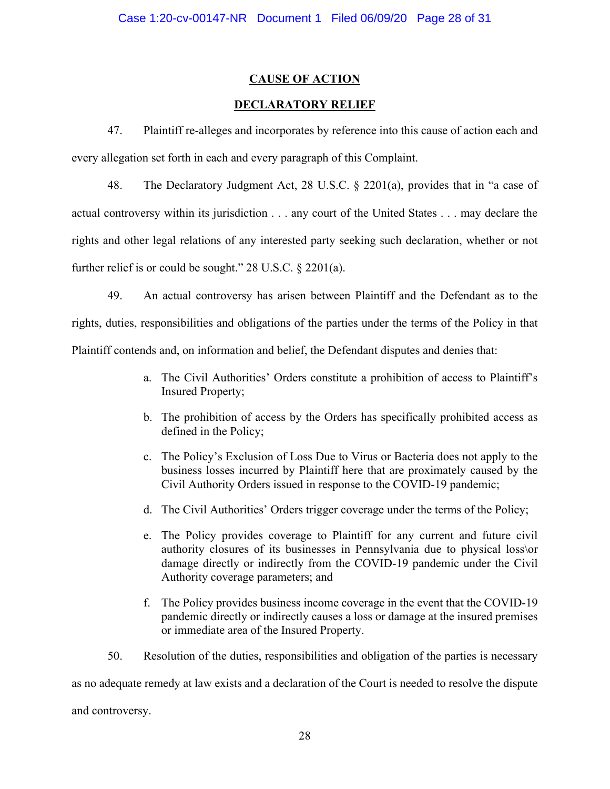#### **CAUSE OF ACTION**

#### **DECLARATORY RELIEF**

47. Plaintiff re-alleges and incorporates by reference into this cause of action each and every allegation set forth in each and every paragraph of this Complaint.

48. The Declaratory Judgment Act, 28 U.S.C. § 2201(a), provides that in "a case of actual controversy within its jurisdiction . . . any court of the United States . . . may declare the rights and other legal relations of any interested party seeking such declaration, whether or not further relief is or could be sought." 28 U.S.C. § 2201(a).

49. An actual controversy has arisen between Plaintiff and the Defendant as to the rights, duties, responsibilities and obligations of the parties under the terms of the Policy in that Plaintiff contends and, on information and belief, the Defendant disputes and denies that:

- a. The Civil Authorities' Orders constitute a prohibition of access to Plaintiff's Insured Property;
- b. The prohibition of access by the Orders has specifically prohibited access as defined in the Policy;
- c. The Policy's Exclusion of Loss Due to Virus or Bacteria does not apply to the business losses incurred by Plaintiff here that are proximately caused by the Civil Authority Orders issued in response to the COVID-19 pandemic;
- d. The Civil Authorities' Orders trigger coverage under the terms of the Policy;
- e. The Policy provides coverage to Plaintiff for any current and future civil authority closures of its businesses in Pennsylvania due to physical loss\or damage directly or indirectly from the COVID-19 pandemic under the Civil Authority coverage parameters; and
- f. The Policy provides business income coverage in the event that the COVID-19 pandemic directly or indirectly causes a loss or damage at the insured premises or immediate area of the Insured Property.
- 50. Resolution of the duties, responsibilities and obligation of the parties is necessary

as no adequate remedy at law exists and a declaration of the Court is needed to resolve the dispute

and controversy.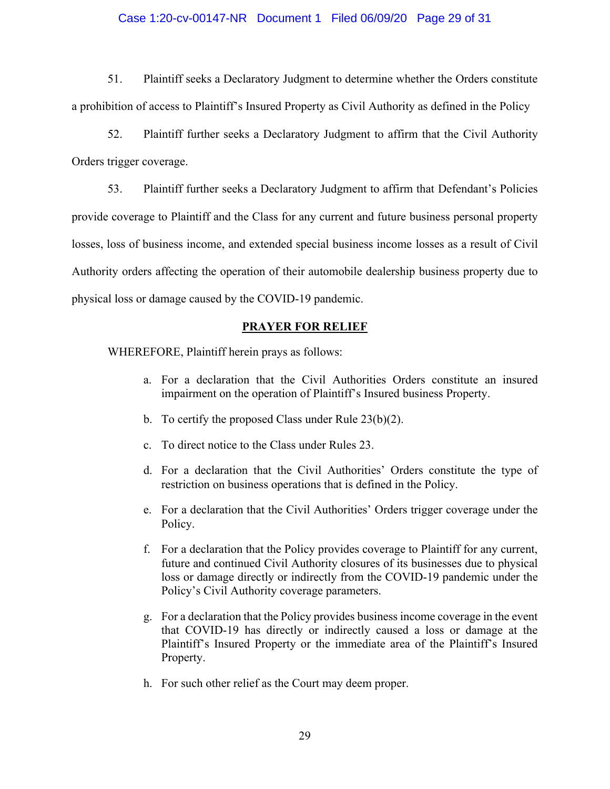#### Case 1:20-cv-00147-NR Document 1 Filed 06/09/20 Page 29 of 31

51. Plaintiff seeks a Declaratory Judgment to determine whether the Orders constitute a prohibition of access to Plaintiff's Insured Property as Civil Authority as defined in the Policy

52. Plaintiff further seeks a Declaratory Judgment to affirm that the Civil Authority Orders trigger coverage.

53. Plaintiff further seeks a Declaratory Judgment to affirm that Defendant's Policies provide coverage to Plaintiff and the Class for any current and future business personal property losses, loss of business income, and extended special business income losses as a result of Civil Authority orders affecting the operation of their automobile dealership business property due to physical loss or damage caused by the COVID-19 pandemic.

#### **PRAYER FOR RELIEF**

WHEREFORE, Plaintiff herein prays as follows:

- a. For a declaration that the Civil Authorities Orders constitute an insured impairment on the operation of Plaintiff's Insured business Property.
- b. To certify the proposed Class under Rule 23(b)(2).
- c. To direct notice to the Class under Rules 23.
- d. For a declaration that the Civil Authorities' Orders constitute the type of restriction on business operations that is defined in the Policy.
- e. For a declaration that the Civil Authorities' Orders trigger coverage under the Policy.
- f. For a declaration that the Policy provides coverage to Plaintiff for any current, future and continued Civil Authority closures of its businesses due to physical loss or damage directly or indirectly from the COVID-19 pandemic under the Policy's Civil Authority coverage parameters.
- g. For a declaration that the Policy provides business income coverage in the event that COVID-19 has directly or indirectly caused a loss or damage at the Plaintiff's Insured Property or the immediate area of the Plaintiff's Insured Property.
- h. For such other relief as the Court may deem proper.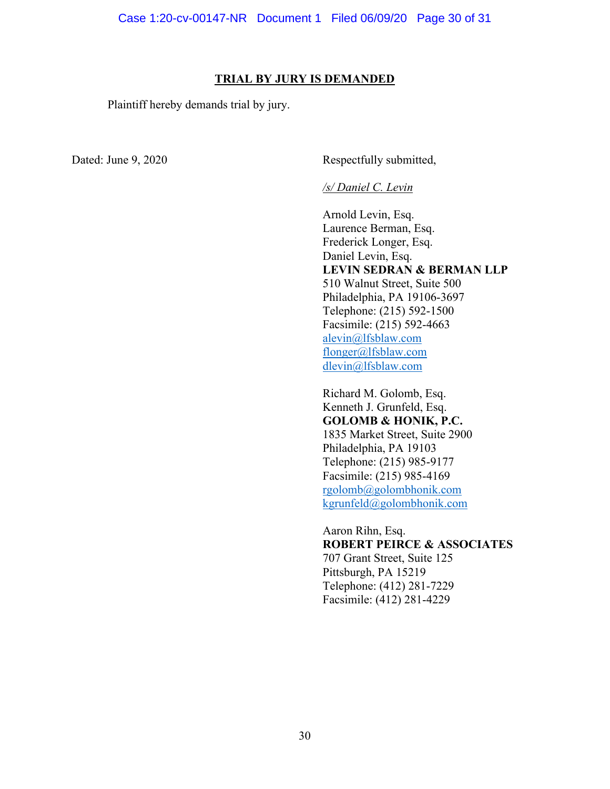#### **TRIAL BY JURY IS DEMANDED**

Plaintiff hereby demands trial by jury.

Dated: June 9, 2020 Respectfully submitted,

#### */s/ Daniel C. Levin*

Arnold Levin, Esq. Laurence Berman, Esq. Frederick Longer, Esq. Daniel Levin, Esq. **LEVIN SEDRAN & BERMAN LLP** 510 Walnut Street, Suite 500 Philadelphia, PA 19106-3697 Telephone: (215) 592-1500 Facsimile: (215) 592-4663 [alevin@lfsblaw.com](mailto:alevin@lfsblaw.com) [flonger@lfsblaw.com](mailto:flonger@lfsblaw.com) [dlevin@lfsblaw.com](mailto:dlevin@lfsblaw.com)

Richard M. Golomb, Esq. Kenneth J. Grunfeld, Esq. **GOLOMB & HONIK, P.C.** 1835 Market Street, Suite 2900 Philadelphia, PA 19103 Telephone: (215) 985-9177 Facsimile: (215) 985-4169 [rgolomb@golombhonik.com](mailto:rgolomb@golombhonik.com) [kgrunfeld@golombhonik.com](mailto:kgrunfeld@golombhonik.com)

Aaron Rihn, Esq. **ROBERT PEIRCE & ASSOCIATES** 707 Grant Street, Suite 125

Pittsburgh, PA 15219 Telephone: (412) 281-7229 Facsimile: (412) 281-4229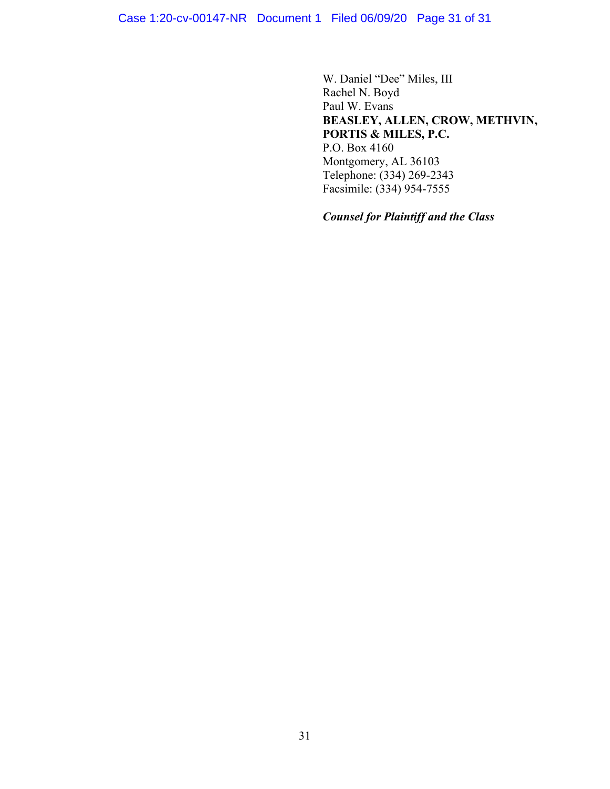W. Daniel "Dee" Miles, III Rachel N. Boyd Paul W. Evans **BEASLEY, ALLEN, CROW, METHVIN, PORTIS & MILES, P.C.** P.O. Box 4160 Montgomery, AL 36103 Telephone: (334) 269-2343 Facsimile: (334) 954-7555

*Counsel for Plaintiff and the Class*